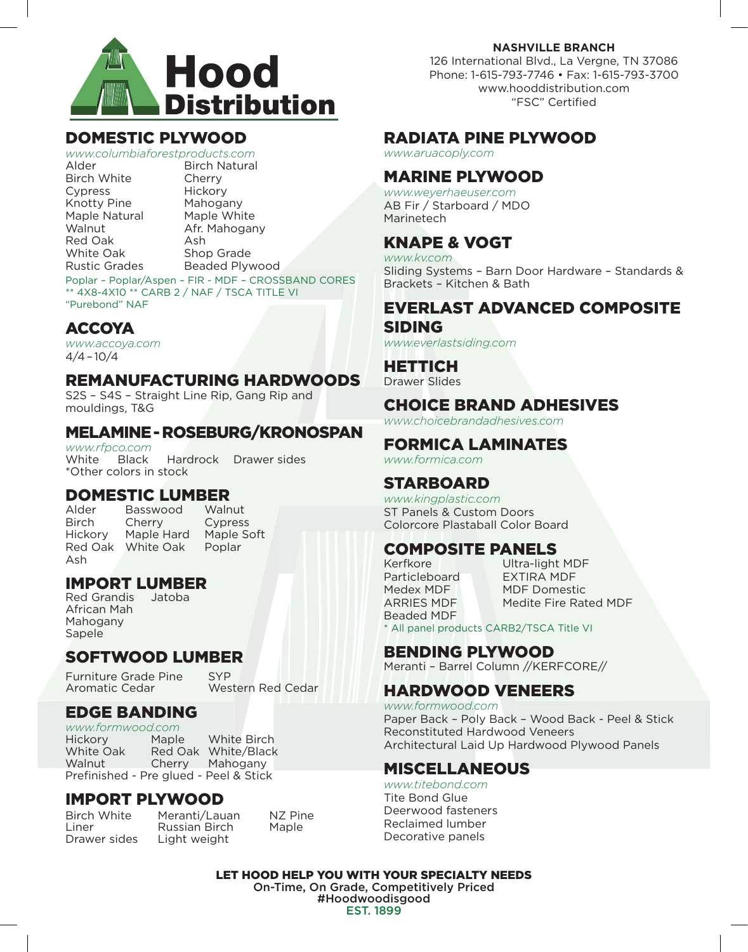

#### DOMESTIC PLYWOOD

*www.columbiaforestproducts.com* Alder **Birch Natural** Birch White Cherry<br>Cypress Hickory Cypress Hickory<br>Knotty Pine Mahogany Knotty Pine Maple Natural Maple White Walnut **Afr. Mahogany** Red Oak Ash White Oak Shop Grade Rustic Grades Beaded Plywood

Poplar – Poplar/Aspen – FIR - MDF – CROSSBAND CORES \*\* 4X8-4X10 \*\* CARB 2 / NAF / TSCA TITLE VI "Purebond" NAF

#### ACCOYA

*www.accoya.com* 4/4 – 10/4

#### REMANUFACTURING HARDWOODS

S2S – S4S – Straight Line Rip, Gang Rip and mouldings, T&G

#### MELAMINE - ROSEBURG/KRONOSPAN

*www.rfpco.com* White Black Hardrock Drawer sides \*Other colors in stock

## **DOMESTIC LUMBER**<br>Alder Basswood Walnut<br>Birch Cherry Cypress

Birch Cherry Cypress<br>Hickory Maple Hard Maple S Red Oak White Oak Poplar Ash

Maple Hard Maple Soft

### **IMPORT LUMBER**<br>Red Grandis Jatoba

Red Grandis African Mah Mahogany Sapele

#### SOFTWOOD LUMBER

Furniture Grade Pine SYP<br>Aromatic Cedar Mes

**Western Red Cedar** 

#### EDGE BANDING

*www.formwood.com*  Hickory Maple White Birch<br>White Oak Red Oak White/Black Red Oak White/Black Walnut Cherry Mahogany Prefinished - Pre glued - Peel & Stick

## **IMPORT PLYWOOD**<br>Birch White Meranti/Lau

Liner **Russian Birch Maple**<br>Drawer sides Light weight

Meranti/Lauan NZ Pine Light weight

**NASHVILLE BRANCH**

126 International Blvd., La Vergne, TN 37086 Phone: 1-615-793-7746 • Fax: 1-615-793-3700 www.hooddistribution.com "FSC" Certified

#### RADIATA PINE PLYWOOD

*www.aruacoply.com* 

#### MARINE PLYWOOD

*www.weyerhaeuser.com* AB Fir / Starboard / MDO Marinetech

#### KNAPE & VOGT

*www.kv.com* Sliding Systems – Barn Door Hardware – Standards & Brackets – Kitchen & Bath

#### EVERLAST ADVANCED COMPOSITE SIDING

*www.everlastsiding.com*

#### HETTICH

Drawer Slides

#### CHOICE BRAND ADHESIVES

*www.choicebrandadhesives.com*

#### FORMICA LAMINATES

*www.formica.com*

#### STARBOARD

*www.kingplastic.com* ST Panels & Custom Doors Colorcore Plastaball Color Board

## **COMPOSITE PANELS**<br>Kerfkore Ultra-light

Particleboard EXTIRA MDF Beaded MDF

Ultra-light MDF Medex MDF MDF Domestic ARRIES MDF Medite Fire Rated MDF

\* All panel products CARB2/TSCA Title VI

#### BENDING PLYWOOD

Meranti – Barrel Column //KERFCORE//

#### HARDWOOD VENEERS

*www.formwood.com* Paper Back – Poly Back – Wood Back - Peel & Stick Reconstituted Hardwood Veneers Architectural Laid Up Hardwood Plywood Panels

#### MISCELLANEOUS

*www.titebond.com* Tite Bond Glue Deerwood fasteners Reclaimed lumber Decorative panels

LET HOOD HELP YOU WITH YOUR SPECIALTY NEEDS On-Time, On Grade, Competitively Priced #Hoodwoodisgood EST. 1899